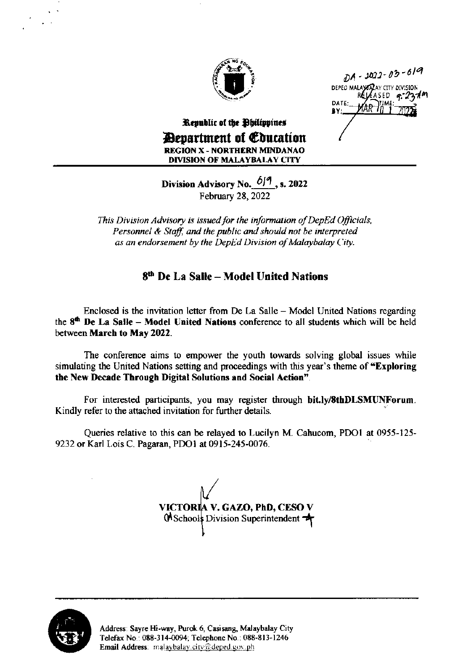

 $DA - 3022 - 03 - 619$ DEPED MALAY ARY CITY DIVISION ASED

## Republic of the Obilippines *<u>Aenartment</u>* of *Coucation* **REGION X - NORTHERN MINDANAO DIVISION OF MALAYBALAY CITY**

Division Advisory No.  $6/9$ , s. 2022 February 28,  $2022$ 

This Division Advisory is issued for the information of DepEd Officials, Personnel & Staff, and the public and should not be interpreted as an endorsement by the DepEd Division of Malaybalay City.

## 8<sup>th</sup> De La Salle - Model United Nations

Enclosed is the invitation letter from De La Salle – Model United Nations regarding the 8<sup>th</sup> De La Salle - Model United Nations conference to all students which will be held between March to May 2022.

The conference aims to empower the youth towards solving global issues while simulating the United Nations setting and proceedings with this year's theme of "Exploring the New Decade Through Digital Solutions and Social Action".

For interested participants, you may register through bit.ly/8thDLSMUNForum. Kindly refer to the attached invitation for further details.

Queries relative to this can be relayed to Lucilyn M. Cahucom, PDO1 at 0955-125-9232 or Karl Lois C. Pagaran, PDO1 at 0915-245-0076.

VICTORIA V. GAZO, PhD, CESO V 0 Schools Division Superintendent

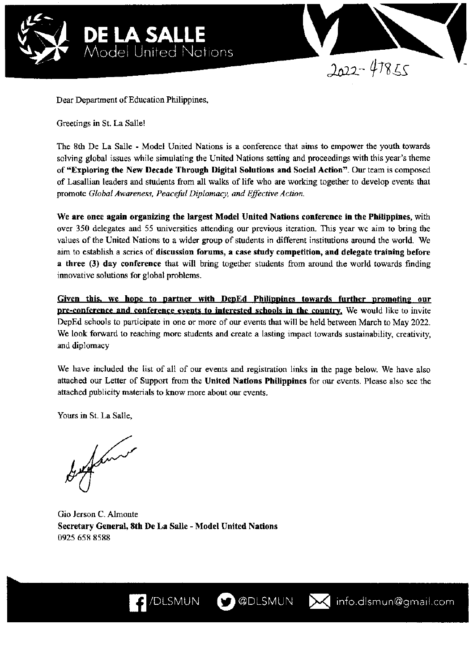



Minfo.dlsmun@gmail.com

Dear Department of Education Philippines,

Greetings in St. La Salle!

The 8th De La Salle - Model United Nations is a conference that aims to empower the youth towards solving global issues while simulating the United Nations setting and proceedings with this year's theme of "Exploring the New Decade Through Digital Solutions and Social Action". Our team is composed of Lasallian leaders and students from all walks of life who are working together to develop events that promote Global Awareness, Peaceful Diplomacy, and Effective Action.

We are once again organizing the largest Model United Nations conference in the Philippines, with over 350 delegates and 55 universities attending our previous iteration. This year we aim to bring the values of the United Nations to a wider group of students in different institutions around the world. We aim to establish a series of discussion forums, a case study competition, and delegate training before a three (3) day conference that will bring together students from around the world towards finding innovative solutions for global problems.

Given this, we hope to partner with DepEd Philippines towards further promoting our pre-conference and conference events to interested schools in the country. We would like to invite DepEd schools to participate in one or more of our events that will be held between March to May 2022. We look forward to reaching more students and create a lasting impact towards sustainability, creativity, and diplomacy

We have included the list of all of our events and registration links in the page below. We have also attached our Letter of Support from the United Nations Philippines for our events. Please also see the attached publicity materials to know more about our events.

**D** @DLSMUN

Yours in St. La Salle,

James

Gio Jerson C. Almonte Secretary General, 8th De La Salle - Model United Nations 0925 658 8588

 $\left\langle \right\rangle$  /DLSMUN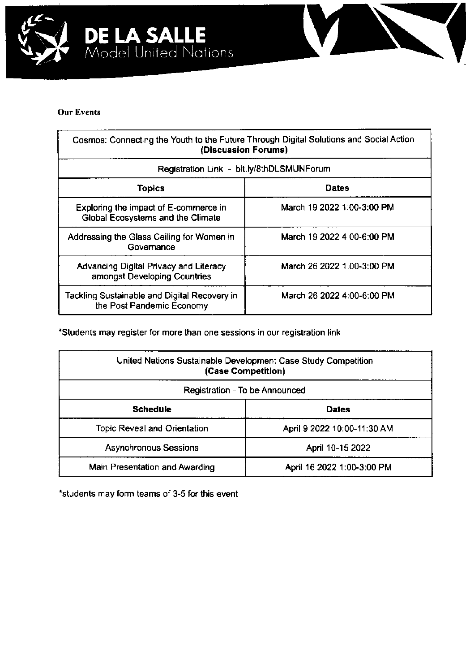



## Our Events

| Cosmos: Connecting the Youth to the Future Through Digital Solutions and Social Action<br>(Discussion Forums)<br>Registration Link - bit.ly/8thDLSMUNForum |                            |  |
|------------------------------------------------------------------------------------------------------------------------------------------------------------|----------------------------|--|
|                                                                                                                                                            |                            |  |
| Exploring the impact of E-commerce in<br><b>Global Ecosystems and the Climate</b>                                                                          | March 19 2022 1:00-3:00 PM |  |
| Addressing the Glass Ceiling for Women in<br>Governance                                                                                                    | March 19 2022 4:00-6:00 PM |  |
| Advancing Digital Privacy and Literacy<br>amongst Developing Countries                                                                                     | March 26 2022 1:00-3:00 PM |  |
| Tackling Sustainable and Digital Recovery in<br>the Post Pandemic Economy                                                                                  | March 26 2022 4:00-6:00 PM |  |

'Students may register for more than one sessions in our registration link

| United Nations Sustainable Development Case Study Competition<br>(Case Competition) |                             |  |
|-------------------------------------------------------------------------------------|-----------------------------|--|
| Registration - To be Announced                                                      |                             |  |
| <b>Schedule</b>                                                                     | <b>Dates</b>                |  |
| <b>Topic Reveal and Orientation</b>                                                 | April 9 2022 10:00-11:30 AM |  |
| <b>Asynchronous Sessions</b>                                                        | April 10-15 2022            |  |
| Main Presentation and Awarding                                                      | April 16 2022 1:00-3:00 PM  |  |

\*students may form teams of 3-5 for this event